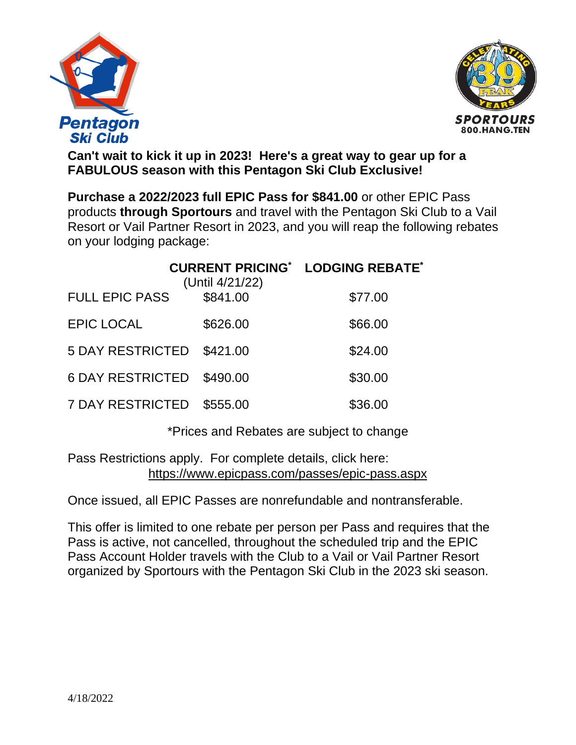



**Can't wait to kick it up in 2023! Here's a great way to gear up for a FABULOUS season with this Pentagon Ski Club Exclusive!**

**Purchase a 2022/2023 full EPIC Pass for \$841.00** or other EPIC Pass products **through Sportours** and travel with the Pentagon Ski Club to a Vail Resort or Vail Partner Resort in 2023, and you will reap the following rebates on your lodging package:

|                         | (Until 4/21/22) | <b>CURRENT PRICING* LODGING REBATE*</b> |
|-------------------------|-----------------|-----------------------------------------|
| <b>FULL EPIC PASS</b>   | \$841.00        | \$77.00                                 |
| <b>EPIC LOCAL</b>       | \$626.00        | \$66.00                                 |
| <b>5 DAY RESTRICTED</b> | \$421.00        | \$24.00                                 |
| <b>6 DAY RESTRICTED</b> | \$490.00        | \$30.00                                 |
| <b>7 DAY RESTRICTED</b> | \$555.00        | \$36.00                                 |

\*Prices and Rebates are subject to change

Pass Restrictions apply. For complete details, click here: <https://www.epicpass.com/passes/epic-pass.aspx>

Once issued, all EPIC Passes are nonrefundable and nontransferable.

This offer is limited to one rebate per person per Pass and requires that the Pass is active, not cancelled, throughout the scheduled trip and the EPIC Pass Account Holder travels with the Club to a Vail or Vail Partner Resort organized by Sportours with the Pentagon Ski Club in the 2023 ski season.